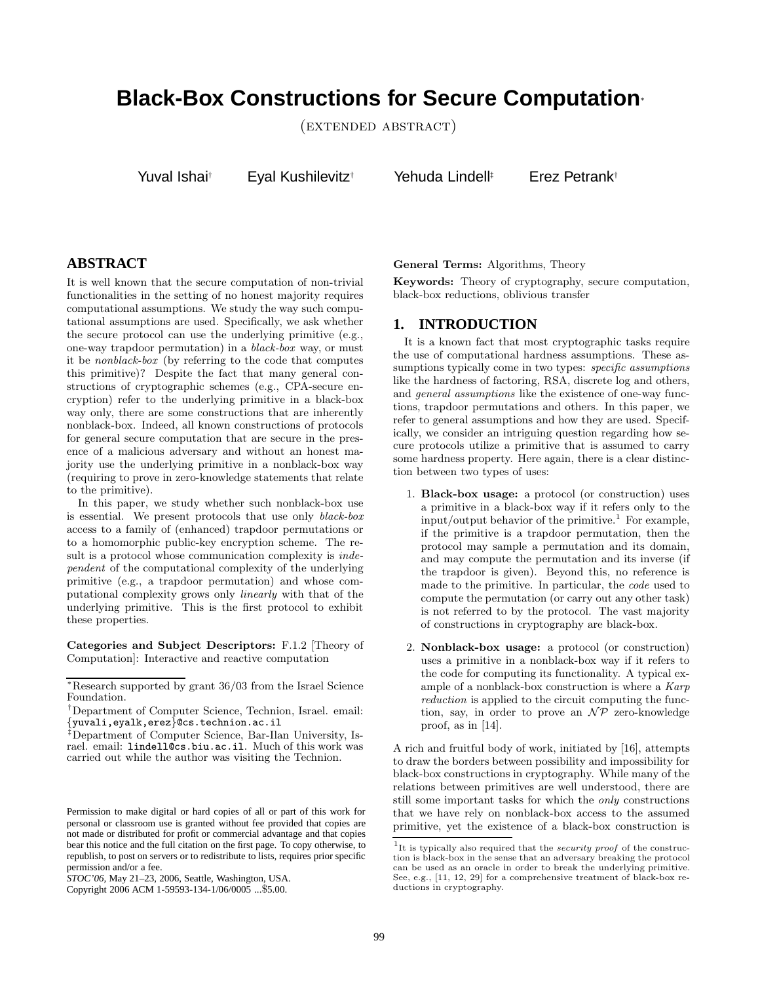## **Black-Box Constructions for Secure Computation**<sup>∗</sup>

(extended abstract)

Yuval Ishai† Eyal Kushilevitz<sup>†</sup> Yehuda Lindell‡ Erez Petrankt

## **ABSTRACT**

It is well known that the secure computation of non-trivial functionalities in the setting of no honest majority requires computational assumptions. We study the way such computational assumptions are used. Specifically, we ask whether the secure protocol can use the underlying primitive (e.g., one-way trapdoor permutation) in a black-box way, or must it be nonblack-box (by referring to the code that computes this primitive)? Despite the fact that many general constructions of cryptographic schemes (e.g., CPA-secure encryption) refer to the underlying primitive in a black-box way only, there are some constructions that are inherently nonblack-box. Indeed, all known constructions of protocols for general secure computation that are secure in the presence of a malicious adversary and without an honest majority use the underlying primitive in a nonblack-box way (requiring to prove in zero-knowledge statements that relate to the primitive).

In this paper, we study whether such nonblack-box use is essential. We present protocols that use only black-box access to a family of (enhanced) trapdoor permutations or to a homomorphic public-key encryption scheme. The result is a protocol whose communication complexity is *inde*pendent of the computational complexity of the underlying primitive (e.g., a trapdoor permutation) and whose computational complexity grows only linearly with that of the underlying primitive. This is the first protocol to exhibit these properties.

**Categories and Subject Descriptors:** F.1.2 [Theory of Computation]: Interactive and reactive computation

**General Terms:** Algorithms, Theory

**Keywords:** Theory of cryptography, secure computation, black-box reductions, oblivious transfer

#### **1. INTRODUCTION**

It is a known fact that most cryptographic tasks require the use of computational hardness assumptions. These assumptions typically come in two types: *specific assumptions* like the hardness of factoring, RSA, discrete log and others, and general assumptions like the existence of one-way functions, trapdoor permutations and others. In this paper, we refer to general assumptions and how they are used. Specifically, we consider an intriguing question regarding how secure protocols utilize a primitive that is assumed to carry some hardness property. Here again, there is a clear distinction between two types of uses:

- 1. **Black-box usage:** a protocol (or construction) uses a primitive in a black-box way if it refers only to the input/output behavior of the primitive.<sup>1</sup> For example, if the primitive is a trapdoor permutation, then the protocol may sample a permutation and its domain, and may compute the permutation and its inverse (if the trapdoor is given). Beyond this, no reference is made to the primitive. In particular, the code used to compute the permutation (or carry out any other task) is not referred to by the protocol. The vast majority of constructions in cryptography are black-box.
- 2. **Nonblack-box usage:** a protocol (or construction) uses a primitive in a nonblack-box way if it refers to the code for computing its functionality. A typical example of a nonblack-box construction is where a Karp reduction is applied to the circuit computing the function, say, in order to prove an  $\mathcal{NP}$  zero-knowledge proof, as in [14].

A rich and fruitful body of work, initiated by [16], attempts to draw the borders between possibility and impossibility for black-box constructions in cryptography. While many of the relations between primitives are well understood, there are still some important tasks for which the only constructions that we have rely on nonblack-box access to the assumed primitive, yet the existence of a black-box construction is

<sup>∗</sup>Research supported by grant 36/03 from the Israel Science Foundation.

<sup>†</sup>Department of Computer Science, Technion, Israel. email: {yuvali,eyalk,erez}@cs.technion.ac.il

<sup>‡</sup>Department of Computer Science, Bar-Ilan University, Israel. email: lindell@cs.biu.ac.il. Much of this work was carried out while the author was visiting the Technion.

Permission to make digital or hard copies of all or part of this work for personal or classroom use is granted without fee provided that copies are not made or distributed for profit or commercial advantage and that copies bear this notice and the full citation on the first page. To copy otherwise, to republish, to post on servers or to redistribute to lists, requires prior specific permission and/or a fee.

*STOC'06,* May 21–23, 2006, Seattle, Washington, USA.

Copyright 2006 ACM 1-59593-134-1/06/0005 ...\$5.00.

 $^{\rm 1}{\rm It}$  is typically also required that the  $security\ proof$  of the construction is black-box in the sense that an adversary breaking the protocol can be used as an oracle in order to break the underlying primitive. See, e.g., [11, 12, 29] for a comprehensive treatment of black-box reductions in cryptography.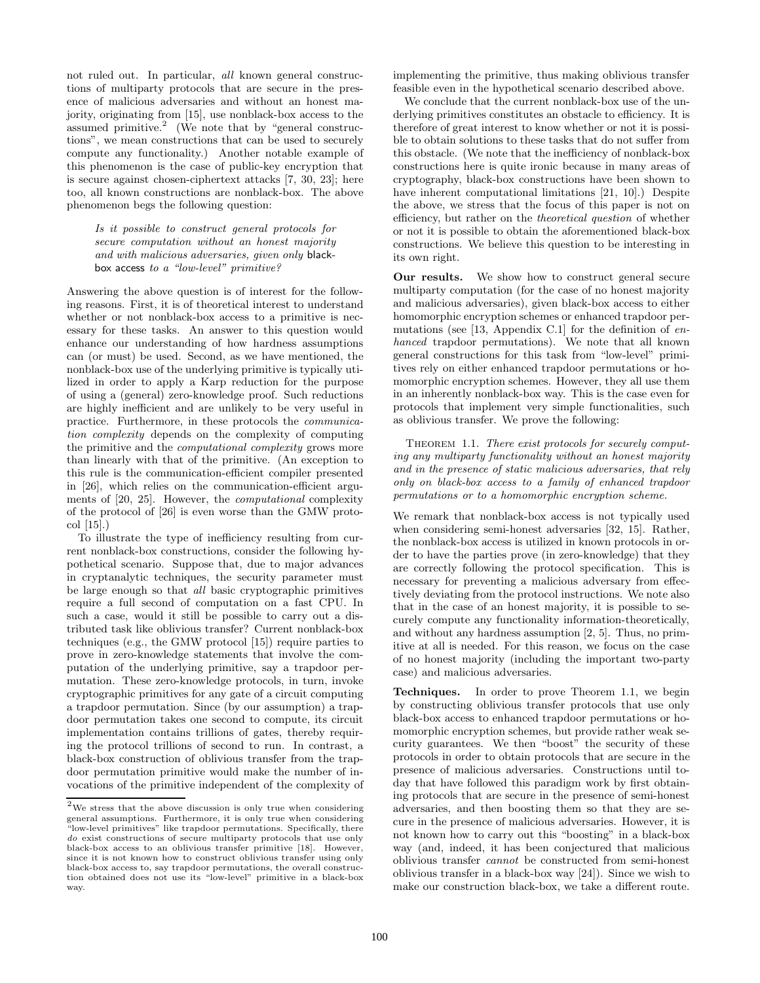not ruled out. In particular, all known general constructions of multiparty protocols that are secure in the presence of malicious adversaries and without an honest majority, originating from [15], use nonblack-box access to the assumed primitive.<sup>2</sup> (We note that by "general constructions", we mean constructions that can be used to securely compute any functionality.) Another notable example of this phenomenon is the case of public-key encryption that is secure against chosen-ciphertext attacks [7, 30, 23]; here too, all known constructions are nonblack-box. The above phenomenon begs the following question:

#### Is it possible to construct general protocols for secure computation without an honest majority and with malicious adversaries, given only blackbox access to a "low-level" primitive?

Answering the above question is of interest for the following reasons. First, it is of theoretical interest to understand whether or not nonblack-box access to a primitive is necessary for these tasks. An answer to this question would enhance our understanding of how hardness assumptions can (or must) be used. Second, as we have mentioned, the nonblack-box use of the underlying primitive is typically utilized in order to apply a Karp reduction for the purpose of using a (general) zero-knowledge proof. Such reductions are highly inefficient and are unlikely to be very useful in practice. Furthermore, in these protocols the communication complexity depends on the complexity of computing the primitive and the computational complexity grows more than linearly with that of the primitive. (An exception to this rule is the communication-efficient compiler presented in [26], which relies on the communication-efficient arguments of [20, 25]. However, the computational complexity of the protocol of [26] is even worse than the GMW protocol [15].)

To illustrate the type of inefficiency resulting from current nonblack-box constructions, consider the following hypothetical scenario. Suppose that, due to major advances in cryptanalytic techniques, the security parameter must be large enough so that all basic cryptographic primitives require a full second of computation on a fast CPU. In such a case, would it still be possible to carry out a distributed task like oblivious transfer? Current nonblack-box techniques (e.g., the GMW protocol [15]) require parties to prove in zero-knowledge statements that involve the computation of the underlying primitive, say a trapdoor permutation. These zero-knowledge protocols, in turn, invoke cryptographic primitives for any gate of a circuit computing a trapdoor permutation. Since (by our assumption) a trapdoor permutation takes one second to compute, its circuit implementation contains trillions of gates, thereby requiring the protocol trillions of second to run. In contrast, a black-box construction of oblivious transfer from the trapdoor permutation primitive would make the number of invocations of the primitive independent of the complexity of implementing the primitive, thus making oblivious transfer feasible even in the hypothetical scenario described above.

We conclude that the current nonblack-box use of the underlying primitives constitutes an obstacle to efficiency. It is therefore of great interest to know whether or not it is possible to obtain solutions to these tasks that do not suffer from this obstacle. (We note that the inefficiency of nonblack-box constructions here is quite ironic because in many areas of cryptography, black-box constructions have been shown to have inherent computational limitations [21, 10].) Despite the above, we stress that the focus of this paper is not on efficiency, but rather on the theoretical question of whether or not it is possible to obtain the aforementioned black-box constructions. We believe this question to be interesting in its own right.

**Our results.** We show how to construct general secure multiparty computation (for the case of no honest majority and malicious adversaries), given black-box access to either homomorphic encryption schemes or enhanced trapdoor permutations (see [13, Appendix C.1] for the definition of enhanced trapdoor permutations). We note that all known general constructions for this task from "low-level" primitives rely on either enhanced trapdoor permutations or homomorphic encryption schemes. However, they all use them in an inherently nonblack-box way. This is the case even for protocols that implement very simple functionalities, such as oblivious transfer. We prove the following:

THEOREM 1.1. There exist protocols for securely computing any multiparty functionality without an honest majority and in the presence of static malicious adversaries, that rely only on black-box access to a family of enhanced trapdoor permutations or to a homomorphic encryption scheme.

We remark that nonblack-box access is not typically used when considering semi-honest adversaries [32, 15]. Rather, the nonblack-box access is utilized in known protocols in order to have the parties prove (in zero-knowledge) that they are correctly following the protocol specification. This is necessary for preventing a malicious adversary from effectively deviating from the protocol instructions. We note also that in the case of an honest majority, it is possible to securely compute any functionality information-theoretically, and without any hardness assumption [2, 5]. Thus, no primitive at all is needed. For this reason, we focus on the case of no honest majority (including the important two-party case) and malicious adversaries.

**Techniques.** In order to prove Theorem 1.1, we begin by constructing oblivious transfer protocols that use only black-box access to enhanced trapdoor permutations or homomorphic encryption schemes, but provide rather weak security guarantees. We then "boost" the security of these protocols in order to obtain protocols that are secure in the presence of malicious adversaries. Constructions until today that have followed this paradigm work by first obtaining protocols that are secure in the presence of semi-honest adversaries, and then boosting them so that they are secure in the presence of malicious adversaries. However, it is not known how to carry out this "boosting" in a black-box way (and, indeed, it has been conjectured that malicious oblivious transfer cannot be constructed from semi-honest oblivious transfer in a black-box way [24]). Since we wish to make our construction black-box, we take a different route.

 $^2\rm{We}$  stress that the above discussion is only true when considering general assumptions. Furthermore, it is only true when considering "low-level primitives" like trapdoor permutations. Specifically, there *do* exist constructions of secure multiparty protocols that use only black-box access to an oblivious transfer primitive [18]. However, since it is not known how to construct oblivious transfer using only black-box access to, say trapdoor permutations, the overall construction obtained does not use its "low-level" primitive in a black-box way.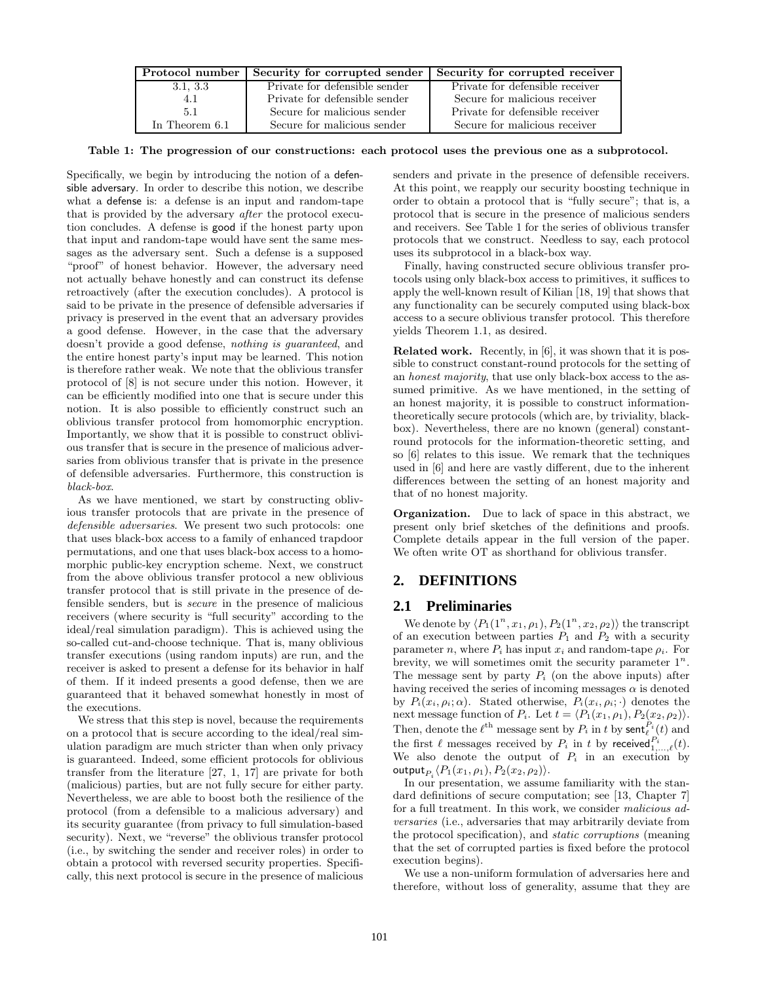|                | Protocol number   Security for corrupted sender | Security for corrupted receiver |
|----------------|-------------------------------------------------|---------------------------------|
| 3.1, 3.3       | Private for defensible sender                   | Private for defensible receiver |
| 4.1            | Private for defensible sender                   | Secure for malicious receiver   |
| 5.1            | Secure for malicious sender                     | Private for defensible receiver |
| In Theorem 6.1 | Secure for malicious sender                     | Secure for malicious receiver   |

**Table 1: The progression of our constructions: each protocol uses the previous one as a subprotocol.**

Specifically, we begin by introducing the notion of a defensible adversary. In order to describe this notion, we describe what a defense is: a defense is an input and random-tape that is provided by the adversary after the protocol execution concludes. A defense is good if the honest party upon that input and random-tape would have sent the same messages as the adversary sent. Such a defense is a supposed "proof" of honest behavior. However, the adversary need not actually behave honestly and can construct its defense retroactively (after the execution concludes). A protocol is said to be private in the presence of defensible adversaries if privacy is preserved in the event that an adversary provides a good defense. However, in the case that the adversary doesn't provide a good defense, nothing is guaranteed, and the entire honest party's input may be learned. This notion is therefore rather weak. We note that the oblivious transfer protocol of [8] is not secure under this notion. However, it can be efficiently modified into one that is secure under this notion. It is also possible to efficiently construct such an oblivious transfer protocol from homomorphic encryption. Importantly, we show that it is possible to construct oblivious transfer that is secure in the presence of malicious adversaries from oblivious transfer that is private in the presence of defensible adversaries. Furthermore, this construction is black-box.

As we have mentioned, we start by constructing oblivious transfer protocols that are private in the presence of defensible adversaries. We present two such protocols: one that uses black-box access to a family of enhanced trapdoor permutations, and one that uses black-box access to a homomorphic public-key encryption scheme. Next, we construct from the above oblivious transfer protocol a new oblivious transfer protocol that is still private in the presence of defensible senders, but is secure in the presence of malicious receivers (where security is "full security" according to the ideal/real simulation paradigm). This is achieved using the so-called cut-and-choose technique. That is, many oblivious transfer executions (using random inputs) are run, and the receiver is asked to present a defense for its behavior in half of them. If it indeed presents a good defense, then we are guaranteed that it behaved somewhat honestly in most of the executions.

We stress that this step is novel, because the requirements on a protocol that is secure according to the ideal/real simulation paradigm are much stricter than when only privacy is guaranteed. Indeed, some efficient protocols for oblivious transfer from the literature [27, 1, 17] are private for both (malicious) parties, but are not fully secure for either party. Nevertheless, we are able to boost both the resilience of the protocol (from a defensible to a malicious adversary) and its security guarantee (from privacy to full simulation-based security). Next, we "reverse" the oblivious transfer protocol (i.e., by switching the sender and receiver roles) in order to obtain a protocol with reversed security properties. Specifically, this next protocol is secure in the presence of malicious

senders and private in the presence of defensible receivers. At this point, we reapply our security boosting technique in order to obtain a protocol that is "fully secure"; that is, a protocol that is secure in the presence of malicious senders and receivers. See Table 1 for the series of oblivious transfer protocols that we construct. Needless to say, each protocol uses its subprotocol in a black-box way.

Finally, having constructed secure oblivious transfer protocols using only black-box access to primitives, it suffices to apply the well-known result of Kilian [18, 19] that shows that any functionality can be securely computed using black-box access to a secure oblivious transfer protocol. This therefore yields Theorem 1.1, as desired.

**Related work.** Recently, in [6], it was shown that it is possible to construct constant-round protocols for the setting of an honest majority, that use only black-box access to the assumed primitive. As we have mentioned, in the setting of an honest majority, it is possible to construct informationtheoretically secure protocols (which are, by triviality, blackbox). Nevertheless, there are no known (general) constantround protocols for the information-theoretic setting, and so [6] relates to this issue. We remark that the techniques used in [6] and here are vastly different, due to the inherent differences between the setting of an honest majority and that of no honest majority.

**Organization.** Due to lack of space in this abstract, we present only brief sketches of the definitions and proofs. Complete details appear in the full version of the paper. We often write OT as shorthand for oblivious transfer.

## **2. DEFINITIONS**

#### **2.1 Preliminaries**

We denote by  $\langle P_1(1^n, x_1, \rho_1), P_2(1^n, x_2, \rho_2) \rangle$  the transcript of an execution between parties  $P_1$  and  $P_2$  with a security parameter n, where  $P_i$  has input  $x_i$  and random-tape  $\rho_i$ . For brevity, we will sometimes omit the security parameter  $1^n$ . The message sent by party  $P_i$  (on the above inputs) after having received the series of incoming messages  $\alpha$  is denoted by  $P_i(x_i, \rho_i; \alpha)$ . Stated otherwise,  $P_i(x_i, \rho_i; \cdot)$  denotes the next message function of  $P_i$ . Let  $t = \langle P_1(x_1, \rho_1), P_2(x_2, \rho_2) \rangle$ . Then, denote the  $\ell^{\text{th}}$  message sent by  $P_i$  in t by sent $P_i(t)$  and the first  $\ell$  messages received by  $P_i$  in t by received  $P_i^i$ ,  $\ell$ . We also denote the output of  $P_i$  in an execution by output<sub> $P_i$ </sub> $\langle P_1(x_1, \rho_1), P_2(x_2, \rho_2) \rangle$ .

In our presentation, we assume familiarity with the standard definitions of secure computation; see [13, Chapter 7] for a full treatment. In this work, we consider malicious adversaries (i.e., adversaries that may arbitrarily deviate from the protocol specification), and static corruptions (meaning that the set of corrupted parties is fixed before the protocol execution begins).

We use a non-uniform formulation of adversaries here and therefore, without loss of generality, assume that they are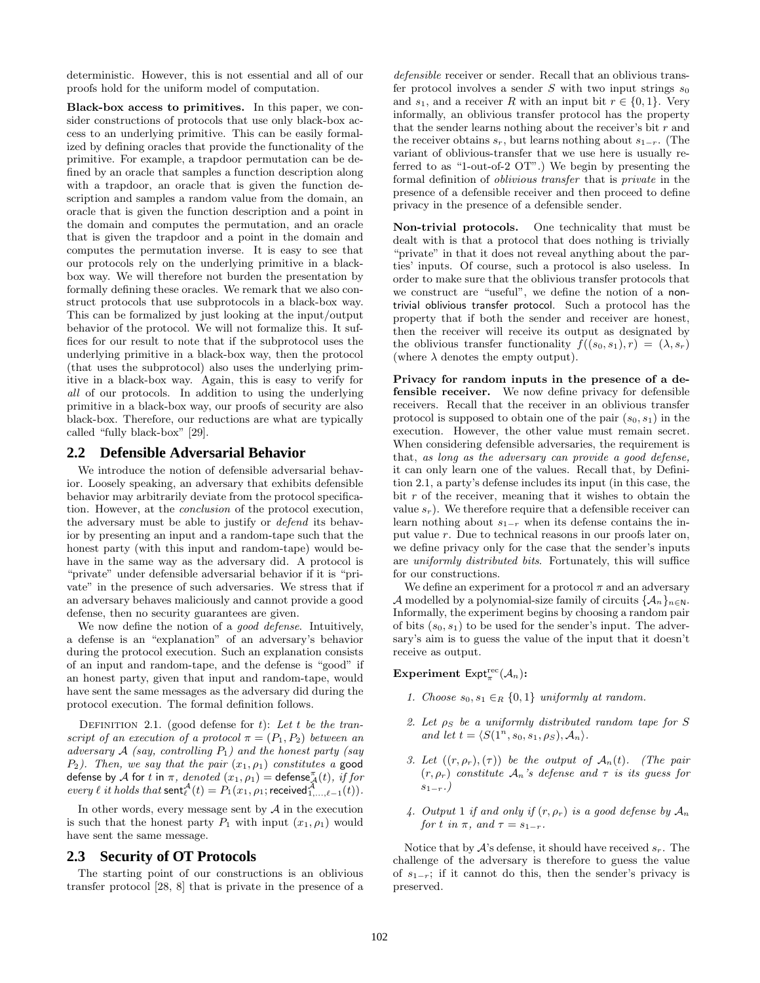deterministic. However, this is not essential and all of our proofs hold for the uniform model of computation.

**Black-box access to primitives.** In this paper, we consider constructions of protocols that use only black-box access to an underlying primitive. This can be easily formalized by defining oracles that provide the functionality of the primitive. For example, a trapdoor permutation can be defined by an oracle that samples a function description along with a trapdoor, an oracle that is given the function description and samples a random value from the domain, an oracle that is given the function description and a point in the domain and computes the permutation, and an oracle that is given the trapdoor and a point in the domain and computes the permutation inverse. It is easy to see that our protocols rely on the underlying primitive in a blackbox way. We will therefore not burden the presentation by formally defining these oracles. We remark that we also construct protocols that use subprotocols in a black-box way. This can be formalized by just looking at the input/output behavior of the protocol. We will not formalize this. It suffices for our result to note that if the subprotocol uses the underlying primitive in a black-box way, then the protocol (that uses the subprotocol) also uses the underlying primitive in a black-box way. Again, this is easy to verify for all of our protocols. In addition to using the underlying primitive in a black-box way, our proofs of security are also black-box. Therefore, our reductions are what are typically called "fully black-box" [29].

#### **2.2 Defensible Adversarial Behavior**

We introduce the notion of defensible adversarial behavior. Loosely speaking, an adversary that exhibits defensible behavior may arbitrarily deviate from the protocol specification. However, at the conclusion of the protocol execution, the adversary must be able to justify or defend its behavior by presenting an input and a random-tape such that the honest party (with this input and random-tape) would behave in the same way as the adversary did. A protocol is "private" under defensible adversarial behavior if it is "private" in the presence of such adversaries. We stress that if an adversary behaves maliciously and cannot provide a good defense, then no security guarantees are given.

We now define the notion of a *good defense*. Intuitively, a defense is an "explanation" of an adversary's behavior during the protocol execution. Such an explanation consists of an input and random-tape, and the defense is "good" if an honest party, given that input and random-tape, would have sent the same messages as the adversary did during the protocol execution. The formal definition follows.

DEFINITION 2.1. (good defense for  $t$ ): Let t be the transcript of an execution of a protocol  $\pi = (P_1, P_2)$  between an adversary  $A$  (say, controlling  $P_1$ ) and the honest party (say  $P_2$ ). Then, we say that the pair  $(x_1, \rho_1)$  constitutes a good defense by A for t in  $\pi$ , denoted  $(x_1, \rho_1)$  = defense<sub> $\mathcal{A}$ </sub> $(t)$ , if for *every*  $\ell$  *it holds that*  $\operatorname{sent}_{\ell}^{\mathcal{A}}(t) = P_1(x_1, \rho_1; \operatorname{received}_{1,\ldots,\ell-1}^{\mathcal{A}}(t)).$ 

In other words, every message sent by  $A$  in the execution is such that the honest party  $P_1$  with input  $(x_1, \rho_1)$  would have sent the same message.

#### **2.3 Security of OT Protocols**

The starting point of our constructions is an oblivious transfer protocol [28, 8] that is private in the presence of a

defensible receiver or sender. Recall that an oblivious transfer protocol involves a sender S with two input strings  $s_0$ and  $s_1$ , and a receiver R with an input bit  $r \in \{0, 1\}$ . Very informally, an oblivious transfer protocol has the property that the sender learns nothing about the receiver's bit  $r$  and the receiver obtains  $s_r$ , but learns nothing about  $s_{1-r}$ . (The variant of oblivious-transfer that we use here is usually referred to as "1-out-of-2 OT".) We begin by presenting the formal definition of oblivious transfer that is private in the presence of a defensible receiver and then proceed to define privacy in the presence of a defensible sender.

**Non-trivial protocols.** One technicality that must be dealt with is that a protocol that does nothing is trivially "private" in that it does not reveal anything about the parties' inputs. Of course, such a protocol is also useless. In order to make sure that the oblivious transfer protocols that we construct are "useful", we define the notion of a nontrivial oblivious transfer protocol. Such a protocol has the property that if both the sender and receiver are honest, then the receiver will receive its output as designated by the oblivious transfer functionality  $f((s_0, s_1), r)=(\lambda, s_r)$ (where  $\lambda$  denotes the empty output).

**Privacy for random inputs in the presence of a defensible receiver.** We now define privacy for defensible receivers. Recall that the receiver in an oblivious transfer protocol is supposed to obtain one of the pair  $(s_0, s_1)$  in the execution. However, the other value must remain secret. When considering defensible adversaries, the requirement is that, as long as the adversary can provide a good defense, it can only learn one of the values. Recall that, by Definition 2.1, a party's defense includes its input (in this case, the bit  $r$  of the receiver, meaning that it wishes to obtain the value  $s_r$ ). We therefore require that a defensible receiver can learn nothing about  $s_{1-r}$  when its defense contains the input value r. Due to technical reasons in our proofs later on, we define privacy only for the case that the sender's inputs are uniformly distributed bits. Fortunately, this will suffice for our constructions.

We define an experiment for a protocol  $\pi$  and an adversary A modelled by a polynomial-size family of circuits  $\{\mathcal{A}_n\}_{n\in\mathbb{N}}$ . Informally, the experiment begins by choosing a random pair of bits  $(s_0, s_1)$  to be used for the sender's input. The adversary's aim is to guess the value of the input that it doesn't receive as output.

## $\text{Experiment}$   $\text{Expt}_{\pi}^{\text{rec}}(\mathcal{A}_n)$ :

- 1. Choose  $s_0, s_1 \in_R \{0, 1\}$  uniformly at random.
- 2. Let  $\rho_S$  be a uniformly distributed random tape for S and let  $t = \langle S(1^n, s_0, s_1, \rho_S), \mathcal{A}_n \rangle$ .
- 3. Let  $((r, \rho_r), (\tau))$  be the output of  $\mathcal{A}_n(t)$ . (The pair  $(r, \rho_r)$  constitute  $\mathcal{A}_n$ 's defense and  $\tau$  is its guess for  $s_{1-r}$ .)
- 4. Output 1 if and only if  $(r, \rho_r)$  is a good defense by  $\mathcal{A}_n$ for t in  $\pi$ , and  $\tau = s_{1-r}$ .

Notice that by  $\mathcal{A}$ 's defense, it should have received  $s_r$ . The challenge of the adversary is therefore to guess the value of  $s_{1-r}$ ; if it cannot do this, then the sender's privacy is preserved.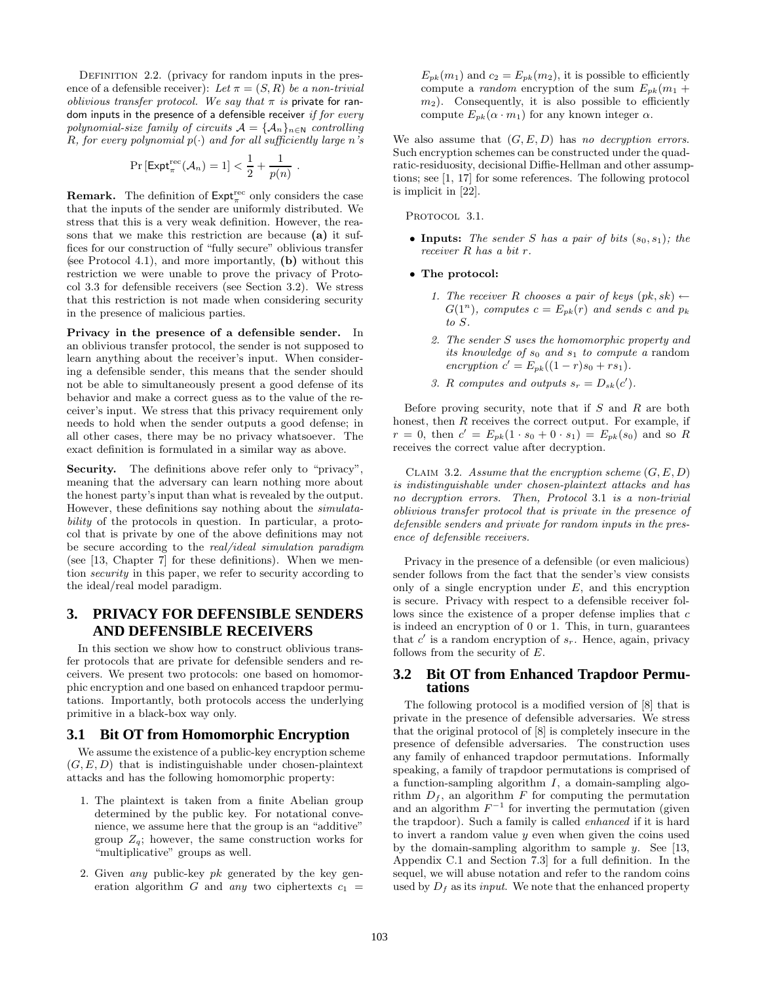DEFINITION 2.2. (privacy for random inputs in the presence of a defensible receiver): Let  $\pi = (S, R)$  be a non-trivial oblivious transfer protocol. We say that  $\pi$  is private for random inputs in the presence of a defensible receiver if for every polynomial-size family of circuits  $A = \{A_n\}_{n\in\mathbb{N}}$  controlling R, for every polynomial  $p(\cdot)$  and for all sufficiently large n's

$$
\Pr\left[\mathsf{Expt}^{\mathrm{rec}}_{\pi}(\mathcal{A}_n) = 1\right] < \frac{1}{2} + \frac{1}{p(n)} \; .
$$

**Remark.** The definition of  $\text{Expt}_{\pi}^{\text{rec}}$  only considers the case that the inputs of the sender are uniformly distributed. We stress that this is a very weak definition. However, the reasons that we make this restriction are because **(a)** it suffices for our construction of "fully secure" oblivious transfer (see Protocol 4.1), and more importantly, **(b)** without this restriction we were unable to prove the privacy of Protocol 3.3 for defensible receivers (see Section 3.2). We stress that this restriction is not made when considering security in the presence of malicious parties.

**Privacy in the presence of a defensible sender.** In an oblivious transfer protocol, the sender is not supposed to learn anything about the receiver's input. When considering a defensible sender, this means that the sender should not be able to simultaneously present a good defense of its behavior and make a correct guess as to the value of the receiver's input. We stress that this privacy requirement only needs to hold when the sender outputs a good defense; in all other cases, there may be no privacy whatsoever. The exact definition is formulated in a similar way as above.

Security. The definitions above refer only to "privacy", meaning that the adversary can learn nothing more about the honest party's input than what is revealed by the output. However, these definitions say nothing about the simulatability of the protocols in question. In particular, a protocol that is private by one of the above definitions may not be secure according to the real/ideal simulation paradigm (see [13, Chapter 7] for these definitions). When we mention security in this paper, we refer to security according to the ideal/real model paradigm.

## **3. PRIVACY FOR DEFENSIBLE SENDERS AND DEFENSIBLE RECEIVERS**

In this section we show how to construct oblivious transfer protocols that are private for defensible senders and receivers. We present two protocols: one based on homomorphic encryption and one based on enhanced trapdoor permutations. Importantly, both protocols access the underlying primitive in a black-box way only.

#### **3.1 Bit OT from Homomorphic Encryption**

We assume the existence of a public-key encryption scheme  $(G, E, D)$  that is indistinguishable under chosen-plaintext attacks and has the following homomorphic property:

- 1. The plaintext is taken from a finite Abelian group determined by the public key. For notational convenience, we assume here that the group is an "additive" group  $Z_q$ ; however, the same construction works for "multiplicative" groups as well.
- 2. Given *any* public-key  $pk$  generated by the key generation algorithm G and any two ciphertexts  $c_1 =$

 $E_{pk}(m_1)$  and  $c_2 = E_{pk}(m_2)$ , it is possible to efficiently compute a *random* encryption of the sum  $E_{pk}(m_1 +$  $m<sub>2</sub>$ ). Consequently, it is also possible to efficiently compute  $E_{nk}(\alpha \cdot m_1)$  for any known integer  $\alpha$ .

We also assume that  $(G, E, D)$  has no decryption errors. Such encryption schemes can be constructed under the quadratic-residuosity, decisional Diffie-Hellman and other assumptions; see [1, 17] for some references. The following protocol is implicit in [22].

PROTOCOL 3.1.

- **Inputs:** The sender S has a pair of bits  $(s_0, s_1)$ ; the receiver R has a bit r.
- **The protocol:**
	- 1. The receiver R chooses a pair of keys  $(pk, sk) \leftarrow$  $G(1^n)$ , computes  $c = E_{pk}(r)$  and sends c and  $p_k$ to S.
	- 2. The sender S uses the homomorphic property and its knowledge of  $s_0$  and  $s_1$  to compute a random encryption  $c' = E_{pk}((1 - r)s_0 + rs_1)$ .
	- 3. R computes and outputs  $s_r = D_{sk}(c')$ .

Before proving security, note that if  $S$  and  $R$  are both honest, then R receives the correct output. For example, if  $r = 0$ , then  $c' = E_{pk}(1 \cdot s_0 + 0 \cdot s_1) = E_{pk}(s_0)$  and so R receives the correct value after decryption.

CLAIM 3.2. Assume that the encryption scheme  $(G, E, D)$ is indistinguishable under chosen-plaintext attacks and has no decryption errors. Then, Protocol 3.1 is a non-trivial oblivious transfer protocol that is private in the presence of defensible senders and private for random inputs in the presence of defensible receivers.

Privacy in the presence of a defensible (or even malicious) sender follows from the fact that the sender's view consists only of a single encryption under  $E$ , and this encryption is secure. Privacy with respect to a defensible receiver follows since the existence of a proper defense implies that  $c$ is indeed an encryption of 0 or 1. This, in turn, guarantees that  $c'$  is a random encryption of  $s_r$ . Hence, again, privacy follows from the security of  $E$ .

# **3.2 Bit OT from Enhanced Trapdoor Permu- tations**

The following protocol is a modified version of [8] that is private in the presence of defensible adversaries. We stress that the original protocol of [8] is completely insecure in the presence of defensible adversaries. The construction uses any family of enhanced trapdoor permutations. Informally speaking, a family of trapdoor permutations is comprised of a function-sampling algorithm  $I$ , a domain-sampling algorithm  $D_f$ , an algorithm F for computing the permutation and an algorithm  $F^{-1}$  for inverting the permutation (given the trapdoor). Such a family is called enhanced if it is hard to invert a random value  $y$  even when given the coins used by the domain-sampling algorithm to sample  $y$ . See [13, Appendix C.1 and Section 7.3] for a full definition. In the sequel, we will abuse notation and refer to the random coins used by  $D_f$  as its *input*. We note that the enhanced property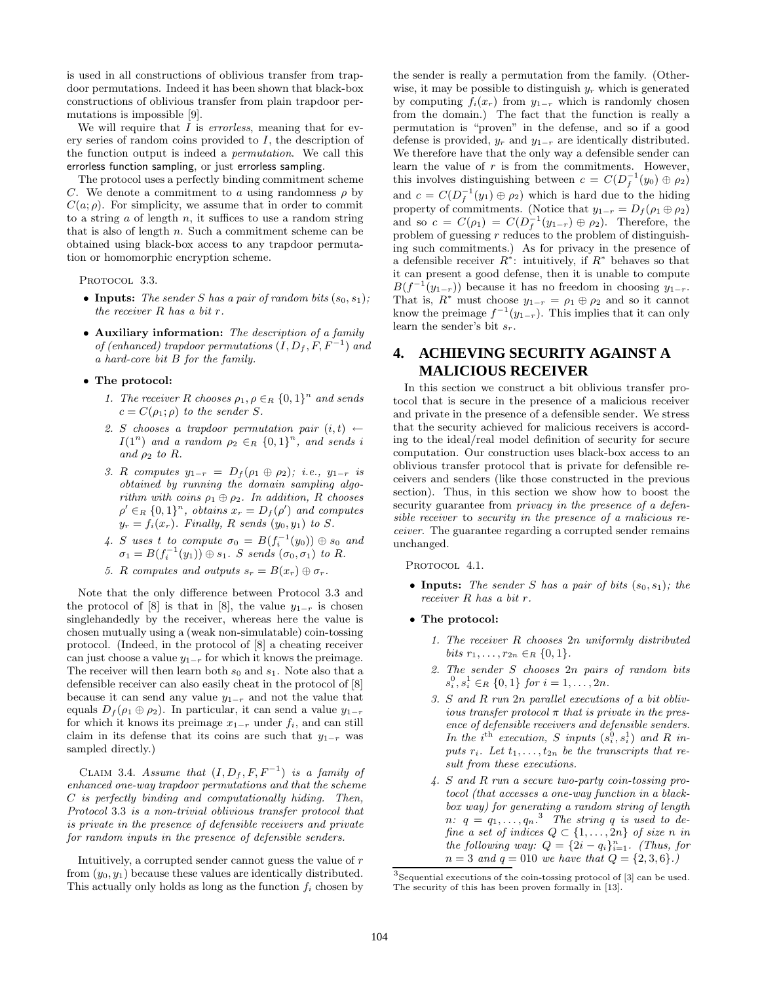is used in all constructions of oblivious transfer from trapdoor permutations. Indeed it has been shown that black-box constructions of oblivious transfer from plain trapdoor permutations is impossible [9].

We will require that  $I$  is *errorless*, meaning that for every series of random coins provided to I, the description of the function output is indeed a permutation. We call this errorless function sampling, or just errorless sampling.

The protocol uses a perfectly binding commitment scheme C. We denote a commitment to a using randomness  $\rho$  by  $C(a; \rho)$ . For simplicity, we assume that in order to commit to a string  $a$  of length  $n$ , it suffices to use a random string that is also of length  $n$ . Such a commitment scheme can be obtained using black-box access to any trapdoor permutation or homomorphic encryption scheme.

PROTOCOL 3.3.

- **Inputs:** The sender S has a pair of random bits  $(s_0, s_1)$ ; the receiver R has a bit r.
- **Auxiliary information:** The description of a family of (enhanced) trapdoor permutations  $(I, D_f, F, F^{-1})$  and a hard-core bit B for the family.
- **The protocol:**
	- 1. The receiver R chooses  $\rho_1, \rho \in_R \{0,1\}^n$  and sends  $c = C(\rho_1; \rho)$  to the sender S.
	- 2. S chooses a trapdoor permutation pair  $(i, t) \leftarrow$  $I(1^n)$  and a random  $\rho_2 \in_R \{0,1\}^n$ , and sends i and  $\rho_2$  to R.
	- 3. R computes  $y_{1-r} = D_f(\rho_1 \oplus \rho_2)$ ; i.e.,  $y_{1-r}$  is obtained by running the domain sampling algorithm with coins  $\rho_1 \oplus \rho_2$ . In addition, R chooses  $\rho' \in_R \{0,1\}^n$ , obtains  $x_r = D_f(\rho')$  and computes  $y_r = f_i(x_r)$ . Finally, R sends  $(y_0, y_1)$  to S.
	- 4. S uses t to compute  $\sigma_0 = B(f_i^{-1}(y_0)) \oplus s_0$  and  $\sigma_1 = B(f_i^{-1}(y_1)) \oplus s_1$ . S sends  $(\sigma_0, \sigma_1)$  to R.
	- 5. R computes and outputs  $s_r = B(x_r) \oplus \sigma_r$ .

Note that the only difference between Protocol 3.3 and the protocol of [8] is that in [8], the value  $y_{1-r}$  is chosen singlehandedly by the receiver, whereas here the value is chosen mutually using a (weak non-simulatable) coin-tossing protocol. (Indeed, in the protocol of [8] a cheating receiver can just choose a value  $y_{1-r}$  for which it knows the preimage. The receiver will then learn both  $s_0$  and  $s_1$ . Note also that a defensible receiver can also easily cheat in the protocol of [8] because it can send any value  $y_{1-r}$  and not the value that equals  $D_f(\rho_1 \oplus \rho_2)$ . In particular, it can send a value  $y_{1-r}$ for which it knows its preimage  $x_{1-r}$  under  $f_i$ , and can still claim in its defense that its coins are such that  $y_{1-r}$  was sampled directly.)

CLAIM 3.4. Assume that  $(I, D_f, F, F^{-1})$  is a family of enhanced one-way trapdoor permutations and that the scheme C is perfectly binding and computationally hiding. Then, Protocol 3.3 is a non-trivial oblivious transfer protocol that is private in the presence of defensible receivers and private for random inputs in the presence of defensible senders.

Intuitively, a corrupted sender cannot guess the value of r from  $(y_0, y_1)$  because these values are identically distributed. This actually only holds as long as the function  $f_i$  chosen by the sender is really a permutation from the family. (Otherwise, it may be possible to distinguish  $y_r$  which is generated by computing  $f_i(x_r)$  from  $y_{1-r}$  which is randomly chosen from the domain.) The fact that the function is really a permutation is "proven" in the defense, and so if a good defense is provided,  $y_r$  and  $y_{1-r}$  are identically distributed. We therefore have that the only way a defensible sender can learn the value of  $r$  is from the commitments. However, this involves distinguishing between  $c = C(D_f^{-1}(y_0) \oplus \rho_2)$ and  $c = C(D_f^{-1}(y_1) \oplus \rho_2)$  which is hard due to the hiding property of commitments. (Notice that  $y_{1-r} = D_f(\rho_1 \oplus \rho_2)$ and so  $c = C(\rho_1) = C(D_f^{-1}(y_{1-r}) \oplus \rho_2)$ . Therefore, the problem of guessing r reduces to the problem of distinguishing such commitments.) As for privacy in the presence of a defensible receiver  $R^*$ : intuitively, if  $R^*$  behaves so that it can present a good defense, then it is unable to compute  $B(f^{-1}(y_{1-r}))$  because it has no freedom in choosing  $y_{1-r}$ . That is,  $R^*$  must choose  $y_{1-r} = \rho_1 \oplus \rho_2$  and so it cannot know the preimage  $f^{-1}(y_{1-r})$ . This implies that it can only learn the sender's bit  $s_r$ .

### **4. ACHIEVING SECURITY AGAINST A MALICIOUS RECEIVER**

In this section we construct a bit oblivious transfer protocol that is secure in the presence of a malicious receiver and private in the presence of a defensible sender. We stress that the security achieved for malicious receivers is according to the ideal/real model definition of security for secure computation. Our construction uses black-box access to an oblivious transfer protocol that is private for defensible receivers and senders (like those constructed in the previous section). Thus, in this section we show how to boost the security guarantee from *privacy* in the presence of a defensible receiver to security in the presence of a malicious receiver. The guarantee regarding a corrupted sender remains unchanged.

PROTOCOL 4.1.

- **Inputs:** The sender S has a pair of bits  $(s_0, s_1)$ ; the receiver R has a bit r.
- **The protocol:**
	- 1. The receiver R chooses 2n uniformly distributed *bits*  $r_1, \ldots, r_{2n} \in_R \{0, 1\}.$
	- 2. The sender S chooses 2n pairs of random bits  $s_i^0, s_i^1 \in_R \{0, 1\}$  for  $i = 1, \ldots, 2n$ .
	- 3. S and R run 2n parallel executions of a bit oblivious transfer protocol  $\pi$  that is private in the presence of defensible receivers and defensible senders. In the i<sup>th</sup> execution, S inputs  $(s_i^0, s_i^1)$  and R inputs  $r_i$ . Let  $t_1, \ldots, t_{2n}$  be the transcripts that result from these executions.
	- 4. S and R run a secure two-party coin-tossing protocol (that accesses a one-way function in a blackbox way) for generating a random string of length n:  $q = q_1, \ldots, q_n$ .<sup>3</sup> The string q is used to define a set of indices  $Q \subset \{1, \ldots, 2n\}$  of size n in the following way:  $Q = \{2i - q_i\}_{i=1}^n$ . (Thus, for  $n = 3$  and  $q = 010$  we have that  $Q = \{2, 3, 6\}$ .

 $3$ Sequential executions of the coin-tossing protocol of [3] can be used. The security of this has been proven formally in [13].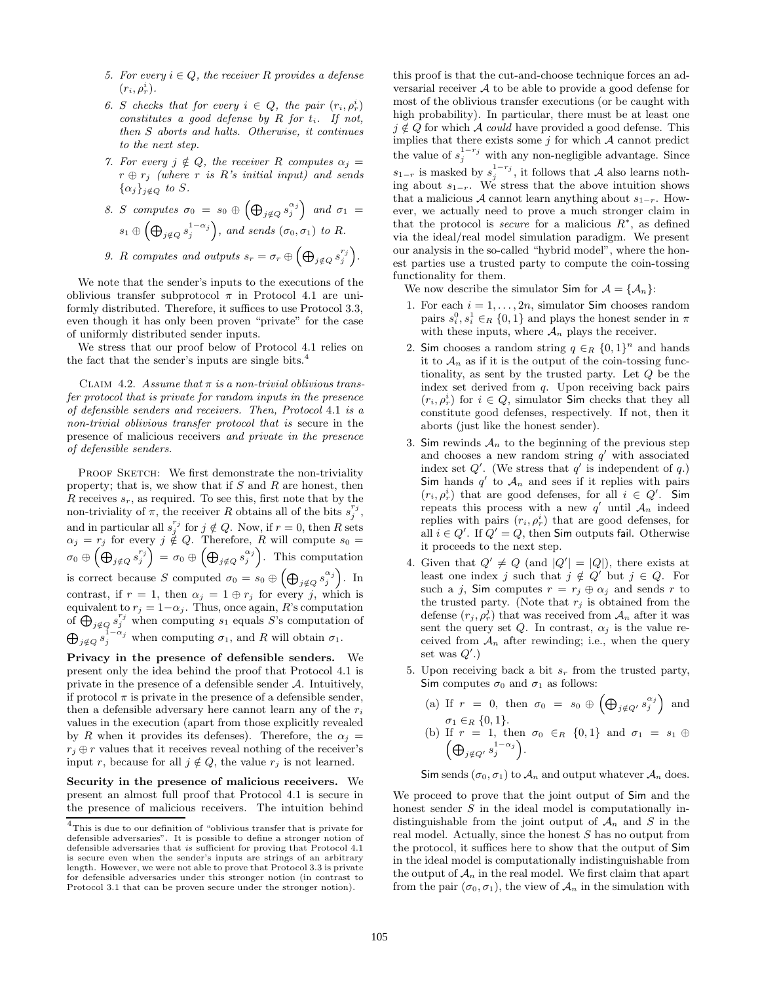- 5. For every  $i \in Q$ , the receiver R provides a defense  $(r_i, \rho_r^i)$ .
- 6. S checks that for every  $i \in Q$ , the pair  $(r_i, \rho_r^i)$ constitutes a good defense by  $R$  for  $t_i$ . If not, then S aborts and halts. Otherwise, it continues to the next step.
- 7. For every  $j \notin Q$ , the receiver R computes  $\alpha_j =$  $r \oplus r_j$  (where r is R's initial input) and sends  $\{\alpha_j\}_{j \notin Q}$  to S.

8. S computes 
$$
\sigma_0 = s_0 \oplus (\bigoplus_{j \notin Q} s_j^{\alpha_j})
$$
 and  $\sigma_1 = s_1 \oplus (\bigoplus_{j \notin Q} s_j^{1-\alpha_j})$ , and sends  $(\sigma_0, \sigma_1)$  to R.  
9. R computes and outputs  $s_r = \sigma_r \oplus (\bigoplus_{j \notin Q} s_j^{r_j})$ .

We note that the sender's inputs to the executions of the oblivious transfer subprotocol  $\pi$  in Protocol 4.1 are uniformly distributed. Therefore, it suffices to use Protocol 3.3, even though it has only been proven "private" for the case of uniformly distributed sender inputs.

We stress that our proof below of Protocol 4.1 relies on the fact that the sender's inputs are single bits.<sup>4</sup>

CLAIM 4.2. Assume that  $\pi$  is a non-trivial oblivious transfer protocol that is private for random inputs in the presence of defensible senders and receivers. Then, Protocol 4.1 is a non-trivial oblivious transfer protocol that is secure in the presence of malicious receivers and private in the presence of defensible senders.

PROOF SKETCH: We first demonstrate the non-triviality property; that is, we show that if  $S$  and  $R$  are honest, then R receives  $s_r$ , as required. To see this, first note that by the non-triviality of  $\pi$ , the receiver R obtains all of the bits  $s_j^{r_j}$ , and in particular all  $s_j^{r_j}$  for  $j \notin Q$ . Now, if  $r = 0$ , then R sets  $\alpha_j = r_j$  for every  $j \notin Q$ . Therefore, R will compute  $s_0 =$  $\sigma_0 \oplus \left( \bigoplus_{j \notin Q} s_j^{r_j} \right) = \sigma_0 \oplus \left( \bigoplus_{j \notin Q} s_j^{\alpha_j} \right)$ . This computation is correct because S computed  $\sigma_0 = s_0 \oplus \left(\bigoplus_{j \notin Q} s_j^{\alpha_j}\right)$ . In contrast, if  $r = 1$ , then  $\alpha_j = 1 \oplus r_j$  for every j, which is equivalent to  $r_j = 1-\alpha_j$ . Thus, once again, R's computation of  $\bigoplus_{j \notin Q} s_j^{r_j}$  when computing  $s_1$  equals  $S$ 's computation of  $\bigoplus_{j \notin Q} s_j^{1-\alpha_j}$  when computing  $\sigma_1$ , and R will obtain  $\sigma_1$ .

**Privacy in the presence of defensible senders.** We present only the idea behind the proof that Protocol 4.1 is private in the presence of a defensible sender  $A$ . Intuitively, if protocol  $\pi$  is private in the presence of a defensible sender, then a defensible adversary here cannot learn any of the  $r_i$ values in the execution (apart from those explicitly revealed by R when it provides its defenses). Therefore, the  $\alpha_j =$  $r_i \oplus r$  values that it receives reveal nothing of the receiver's input r, because for all  $j \notin Q$ , the value  $r_j$  is not learned.

**Security in the presence of malicious receivers.** We present an almost full proof that Protocol 4.1 is secure in the presence of malicious receivers. The intuition behind

 $\begin{pmatrix} r_j \\ i \end{pmatrix}$ . Our analysis in the so-called "hybrid model", where the hon-<br>ost parties use a trusted party to compute the coin-tossing this proof is that the cut-and-choose technique forces an adversarial receiver A to be able to provide a good defense for most of the oblivious transfer executions (or be caught with high probability). In particular, there must be at least one  $j \notin Q$  for which A could have provided a good defense. This implies that there exists some  $j$  for which  $A$  cannot predict the value of  $s_j^{1-r_j}$  with any non-negligible advantage. Since  $s_{1-r}$  is masked by  $s_j^{1-r_j}$ , it follows that A also learns nothing about  $s_{1-r}$ . We stress that the above intuition shows that a malicious A cannot learn anything about  $s_{1-r}$ . However, we actually need to prove a much stronger claim in that the protocol is *secure* for a malicious  $R^*$ , as defined via the ideal/real model simulation paradigm. We present est parties use a trusted party to compute the coin-tossing functionality for them.

We now describe the simulator Sim for  $\mathcal{A} = {\mathcal{A}_n}$ :

- 1. For each  $i = 1, \ldots, 2n$ , simulator **Sim** chooses random pairs  $s_i^0, s_i^1 \in_R \{0, 1\}$  and plays the honest sender in  $\pi$ with these inputs, where  $A_n$  plays the receiver.
- 2. Sim chooses a random string  $q \in_R \{0,1\}^n$  and hands it to  $A_n$  as if it is the output of the coin-tossing functionality, as sent by the trusted party. Let Q be the index set derived from q. Upon receiving back pairs  $(r_i, \rho_r^i)$  for  $i \in Q$ , simulator **Sim** checks that they all constitute good defenses, respectively. If not, then it aborts (just like the honest sender).
- 3. Sim rewinds  $A_n$  to the beginning of the previous step and chooses a new random string  $q'$  with associated index set  $Q'$ . (We stress that q' is independent of q.) Sim hands  $q'$  to  $\mathcal{A}_n$  and sees if it replies with pairs  $(r_i, \rho_r^i)$  that are good defenses, for all  $i \in Q'$ . Sim repeats this process with a new  $q'$  until  $\mathcal{A}_n$  indeed replies with pairs  $(r_i, \rho_r^i)$  that are good defenses, for all  $i \in Q'$ . If  $Q' = Q$ , then Sim outputs fail. Otherwise it proceeds to the next step.
- 4. Given that  $Q' \neq Q$  (and  $|Q'| = |Q|$ ), there exists at least one index j such that  $j \notin Q'$  but  $j \in Q$ . For such a j, Sim computes  $r = r_j \oplus \alpha_j$  and sends r to the trusted party. (Note that  $r_j$  is obtained from the defense  $(r_j, \rho_r^j)$  that was received from  $\mathcal{A}_n$  after it was sent the query set Q. In contrast,  $\alpha_j$  is the value received from  $A_n$  after rewinding; i.e., when the query set was  $Q'$ .)
- 5. Upon receiving back a bit  $s_r$  from the trusted party, Sim computes  $\sigma_0$  and  $\sigma_1$  as follows:
	- (a) If  $r = 0$ , then  $\sigma_0 = s_0 \oplus \left(\bigoplus_{j \notin Q'} s_j^{\alpha_j}\right)$  and  $\sigma_1 \in_R \{0,1\}.$ (b) If  $r = 1$ , then  $\sigma_0 \in_R \{0,1\}$  and  $\sigma_1 = s_1 \oplus ...$
	- $j \notin Q'$ ,  $s_j^{1-\alpha_j}$ .

Sim sends  $(\sigma_0, \sigma_1)$  to  $\mathcal{A}_n$  and output whatever  $\mathcal{A}_n$  does.

We proceed to prove that the joint output of Sim and the honest sender S in the ideal model is computationally indistinguishable from the joint output of  $\mathcal{A}_n$  and S in the real model. Actually, since the honest S has no output from the protocol, it suffices here to show that the output of Sim in the ideal model is computationally indistinguishable from the output of  $\mathcal{A}_n$  in the real model. We first claim that apart from the pair  $(\sigma_0, \sigma_1)$ , the view of  $\mathcal{A}_n$  in the simulation with

<sup>&</sup>lt;sup>4</sup>This is due to our definition of "oblivious transfer that is private for defensible adversaries". It is possible to define a stronger notion of defensible adversaries that *is* sufficient for proving that Protocol 4.1 is secure even when the sender's inputs are strings of an arbitrary length. However, we were not able to prove that Protocol 3.3 is private for defensible adversaries under this stronger notion (in contrast to Protocol 3.1 that can be proven secure under the stronger notion).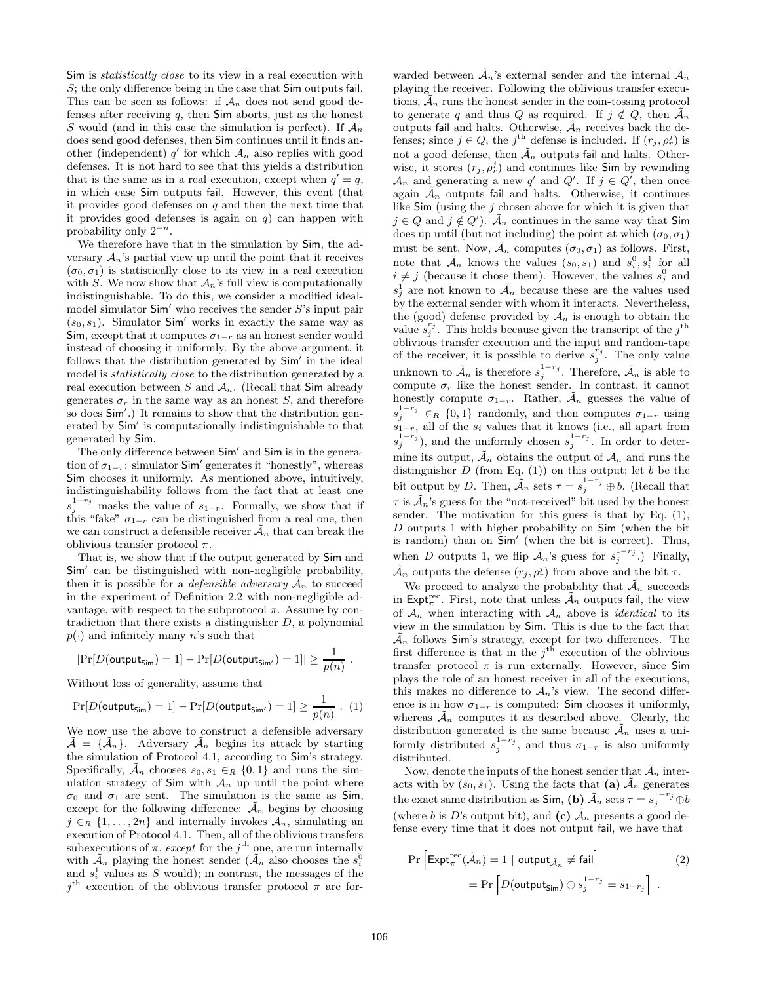Sim is *statistically close* to its view in a real execution with S; the only difference being in the case that Sim outputs fail. This can be seen as follows: if  $\mathcal{A}_n$  does not send good defenses after receiving  $q$ , then  $Sim$  aborts, just as the honest S would (and in this case the simulation is perfect). If  $\mathcal{A}_n$ does send good defenses, then Sim continues until it finds another (independent)  $q'$  for which  $\mathcal{A}_n$  also replies with good defenses. It is not hard to see that this yields a distribution that is the same as in a real execution, except when  $q' = q$ , in which case Sim outputs fail. However, this event (that it provides good defenses on  $q$  and then the next time that it provides good defenses is again on  $q$ ) can happen with probability only  $2^{-n}$ .

We therefore have that in the simulation by Sim, the adversary  $A_n$ 's partial view up until the point that it receives  $(\sigma_0, \sigma_1)$  is statistically close to its view in a real execution with S. We now show that  $\mathcal{A}_n$ 's full view is computationally indistinguishable. To do this, we consider a modified idealmodel simulator  $Sim'$  who receives the sender  $S$ 's input pair  $(s_0, s_1)$ . Simulator Sim' works in exactly the same way as Sim, except that it computes  $\sigma_{1-r}$  as an honest sender would instead of choosing it uniformly. By the above argument, it follows that the distribution generated by  $Sim'$  in the ideal model is statistically close to the distribution generated by a real execution between  $S$  and  $A_n$ . (Recall that Sim already generates  $\sigma_r$  in the same way as an honest S, and therefore so does Sim .) It remains to show that the distribution generated by  $Sim'$  is computationally indistinguishable to that generated by Sim.

The only difference between  $Sim'$  and  $Sim$  is in the generation of  $\sigma_{1-r}$ : simulator Sim' generates it "honestly", whereas Sim chooses it uniformly. As mentioned above, intuitively, indistinguishability follows from the fact that at least one  $s_j^{1-r_j}$  masks the value of  $s_{1-r}$ . Formally, we show that if this "fake"  $\sigma_{1-r}$  can be distinguished from a real one, then we can construct a defensible receiver  $\tilde{A}_n$  that can break the oblivious transfer protocol  $\pi$ .

That is, we show that if the output generated by Sim and Sim<sup>'</sup> can be distinguished with non-negligible probability, then it is possible for a *defensible adversary*  $\mathcal{A}_n$  to succeed in the experiment of Definition 2.2 with non-negligible advantage, with respect to the subprotocol  $\pi$ . Assume by contradiction that there exists a distinguisher  $D$ , a polynomial  $p(\cdot)$  and infinitely many n's such that

$$
|\mathrm{Pr}[D(\mathsf{output}_{\mathsf{Sim}}) = 1] - \mathrm{Pr}[D(\mathsf{output}_{\mathsf{Sim}'}) = 1]| \geq \frac{1}{p(n)} \; .
$$

Without loss of generality, assume that

$$
\Pr[D(\textsf{output}_{\textsf{Sim}}) = 1] - \Pr[D(\textsf{output}_{\textsf{Sim}'}) = 1] \ge \frac{1}{p(n)} \ . \ (1)
$$

We now use the above to construct a defensible adversary  $\tilde{\mathcal{A}} = {\{\tilde{\mathcal{A}}_n\}}$ . Adversary  $\tilde{\mathcal{A}}_n$  begins its attack by starting the simulation of Protocol 4.1, according to Sim's strategy. Specifically,  $\tilde{A}_n$  chooses  $s_0, s_1 \in_R \{0, 1\}$  and runs the simulation strategy of Sim with  $A_n$  up until the point where σ<sup>0</sup> and σ<sup>1</sup> are sent. The simulation is the same as Sim, except for the following difference:  $A_n$  begins by choosing  $j \in_R \{1,\ldots,2n\}$  and internally invokes  $\mathcal{A}_n$ , simulating an execution of Protocol 4.1. Then, all of the oblivious transfers subexecutions of  $\pi$ , *except* for the j<sup>th</sup> one, are run internally with  $\tilde{A}_n$  playing the honest sender  $(\tilde{A}_n$  also chooses the  $s_i^0$ and  $s_i^1$  values as S would); in contrast, the messages of the  $j<sup>th</sup>$  execution of the oblivious transfer protocol  $\pi$  are forwarded between  $\tilde{A}_n$ 's external sender and the internal  $A_n$ playing the receiver. Following the oblivious transfer executions,  $\tilde{A}_n$  runs the honest sender in the coin-tossing protocol to generate q and thus Q as required. If  $j \notin Q$ , then  $\mathcal{A}_n$ outputs fail and halts. Otherwise,  $\tilde{A}_n$  receives back the defenses; since  $j \in Q$ , the  $j^{\text{th}}$  defense is included. If  $(r_j, \rho_r^j)$  is not a good defense, then  $\tilde{A}_n$  outputs fail and halts. Otherwise, it stores  $(r_j, \rho_r^j)$  and continues like Sim by rewinding  $\mathcal{A}_n$  and generating a new q' and  $Q'$ . If  $j \in Q'$ , then once again  $\mathcal{A}_n$  outputs fail and halts. Otherwise, it continues like  $Sim$  (using the  $j$  chosen above for which it is given that  $j \in Q$  and  $j \notin Q'$ ).  $\tilde{A}_n$  continues in the same way that Sim does up until (but not including) the point at which  $(\sigma_0, \sigma_1)$ must be sent. Now,  $A_n$  computes  $(\sigma_0, \sigma_1)$  as follows. First, note that  $\tilde{A}_n$  knows the values  $(s_0, s_1)$  and  $s_i^0, s_i^1$  for all  $i \neq j$  (because it chose them). However, the values  $s_j^0$  and  $s_j^1$  are not known to  $\tilde{A}_n$  because these are the values used by the external sender with whom it interacts. Nevertheless, the (good) defense provided by  $\mathcal{A}_n$  is enough to obtain the value  $s_j^{r_j}$ . This holds because given the transcript of the j<sup>th</sup> oblivious transfer execution and the input and random-tape of the receiver, it is possible to derive  $s_j^{r_j}$ . The only value unknown to  $\tilde{A}_n$  is therefore  $s_j^{1-r_j}$ . Therefore,  $\tilde{A}_n$  is able to compute  $\sigma_r$  like the honest sender. In contrast, it cannot honestly compute  $\sigma_{1-r}$ . Rather,  $\tilde{\mathcal{A}}_n$  guesses the value of  $s_j^{1-r_j} \in_R \{0,1\}$  randomly, and then computes  $\sigma_{1-r}$  using  $s_{1-r}$ , all of the  $s_i$  values that it knows (i.e., all apart from  $s_j^{1-r_j}$ ), and the uniformly chosen  $s_j^{1-r_j}$ . In order to determine its output,  $\tilde{\mathcal{A}}_n$  obtains the output of  $\mathcal{A}_n$  and runs the distinguisher  $D$  (from Eq. (1)) on this output; let b be the bit output by D. Then,  $\tilde{A}_n$  sets  $\tau = s_j^{1-r_j} \oplus b$ . (Recall that  $\tau$  is  $\tilde{A}_n$ 's guess for the "not-received" bit used by the honest sender. The motivation for this guess is that by Eq.  $(1)$ , D outputs 1 with higher probability on Sim (when the bit is random) than on  $Sim'$  (when the bit is correct). Thus, when D outputs 1, we flip  $\tilde{A}_n$ 's guess for  $s_j^{1-r_j}$ .) Finally,  $\tilde{A}_n$  outputs the defense  $(r_j, \rho_r^j)$  from above and the bit  $\tau$ .

We proceed to analyze the probability that  $\tilde{\mathcal{A}}_n$  succeeds in  $\text{Expt}_{\pi}^{\text{rec}}$ . First, note that unless  $\tilde{A}_n$  outputs fail, the view of  $\mathcal{A}_n$  when interacting with  $\tilde{\mathcal{A}}_n$  above is *identical* to its view in the simulation by Sim. This is due to the fact that  $A_n$  follows Sim's strategy, except for two differences. The first difference is that in the  $j<sup>th</sup>$  execution of the oblivious transfer protocol  $\pi$  is run externally. However, since Sim plays the role of an honest receiver in all of the executions, this makes no difference to  $\mathcal{A}_n$ 's view. The second difference is in how  $\sigma_{1-r}$  is computed: Sim chooses it uniformly, whereas  $\tilde{A}_n$  computes it as described above. Clearly, the distribution generated is the same because  $\mathcal{A}_n$  uses a uniformly distributed  $s_j^{1-r_j}$ , and thus  $\sigma_{1-r}$  is also uniformly distributed.

Now, denote the inputs of the honest sender that  $\tilde{A}_n$  interacts with by  $(\tilde{s}_0, \tilde{s}_1)$ . Using the facts that **(a)**  $\tilde{\mathcal{A}}_n$  generates the exact same distribution as Sim, (b)  $\tilde{\mathcal{A}}_n$  sets  $\tau=s_j^{1-r_j}\oplus b$ (where b is D's output bit), and (c)  $\tilde{A}_n$  presents a good defense every time that it does not output fail, we have that

$$
\Pr\left[\text{Expt}_{\pi}^{\text{rec}}(\tilde{\mathcal{A}}_n) = 1 \mid \text{output}_{\tilde{\mathcal{A}}_n} \neq \text{fail}\right] \\
= \Pr\left[D(\text{output}_{\text{Sim}}) \oplus s_j^{1-r_j} = \tilde{s}_{1-r_j}\right] \ .
$$
\n(2)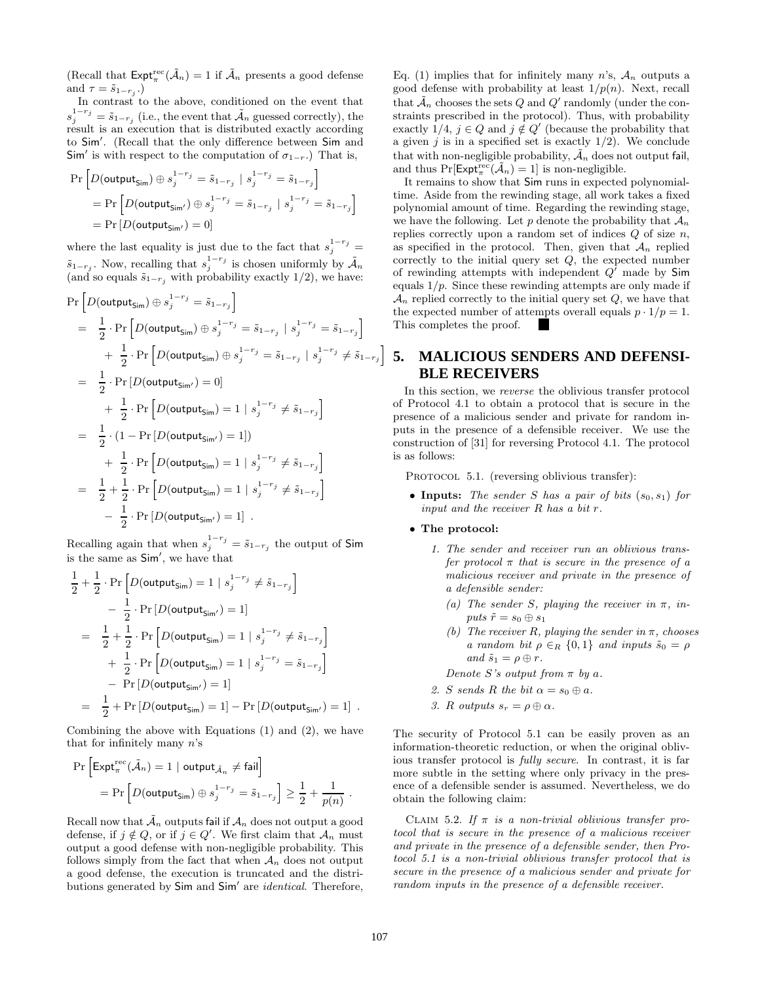(Recall that  $\mathsf{Expt}^{\text{rec}}_{\pi}(\tilde{\mathcal{A}}_n) = 1$  if  $\tilde{\mathcal{A}}_n$  presents a good defense and  $\tau = \tilde{s}_{1-r_i}$ .)

In contrast to the above, conditioned on the event that  $s_j^{1-r_j} = \tilde{s}_{1-r_j}$  (i.e., the event that  $\tilde{\mathcal{A}}_n$  guessed correctly), the result is an execution that is distributed exactly according to Sim . (Recall that the only difference between Sim and Sim' is with respect to the computation of  $\sigma_{1-r}$ .) That is,

$$
\Pr\left[D(\text{output}_{\text{Sim}}) \oplus s_j^{1-r_j} = \tilde{s}_{1-r_j} \mid s_j^{1-r_j} = \tilde{s}_{1-r_j}\right]
$$
\n
$$
= \Pr\left[D(\text{output}_{\text{Sim}'}) \oplus s_j^{1-r_j} = \tilde{s}_{1-r_j} \mid s_j^{1-r_j} = \tilde{s}_{1-r_j}\right]
$$
\nt\n
$$
= \Pr\left[D(\text{output}_{\text{Sim}'}) = 0\right]
$$
\nt\n
$$
= \Pr\left[D(\text{output}_{\text{Sim}'}) = 0\right]
$$

where the last equality is just due to the fact that  $s_j^{1-r_j} =$  $\tilde{s}_{1-r_j}$ . Now, recalling that  $s_j^{1-r_j}$  is chosen uniformly by  $\tilde{\mathcal{A}}_n$ (and so equals  $\tilde{s}_{1-r_j}$  with probability exactly 1/2), we have:

$$
\Pr\left[D(\text{output}_{\text{Sim}}) \oplus s_j^{1-r_j} = \tilde{s}_{1-r_j}\right] \qquad \text{A,}
$$
\n
$$
= \frac{1}{2} \cdot \Pr\left[D(\text{output}_{\text{Sim}}) \oplus s_j^{1-r_j} = \tilde{s}_{1-r_j} \mid s_j^{1-r_j} = \tilde{s}_{1-r_j}\right] \qquad \text{TI}
$$
\n
$$
+ \frac{1}{2} \cdot \Pr\left[D(\text{output}_{\text{Sim}}) \oplus s_j^{1-r_j} = \tilde{s}_{1-r_j} \mid s_j^{1-r_j} \neq \tilde{s}_{1-r_j}\right] \qquad \text{S.}
$$
\n
$$
= \frac{1}{2} \cdot \Pr\left[D(\text{output}_{\text{Sim}}) = 0\right] \qquad \qquad + \frac{1}{2} \cdot \Pr\left[D(\text{output}_{\text{Sim}}) = 1 \mid s_j^{1-r_j} \neq \tilde{s}_{1-r_j}\right] \qquad \text{of}
$$
\n
$$
= \frac{1}{2} \cdot (1 - \Pr\left[D(\text{output}_{\text{Sim}}) = 1\right] \qquad \qquad \text{p} \qquad \text{co}
$$
\n
$$
+ \frac{1}{2} \cdot \Pr\left[D(\text{output}_{\text{Sim}}) = 1 \mid s_j^{1-r_j} \neq \tilde{s}_{1-r_j}\right] \qquad \qquad \text{is}
$$
\n
$$
= \frac{1}{2} + \frac{1}{2} \cdot \Pr\left[D(\text{output}_{\text{Sim}}) = 1 \mid s_j^{1-r_j} \neq \tilde{s}_{1-r_j}\right] \qquad \qquad \text{is}
$$
\n
$$
- \frac{1}{2} \cdot \Pr\left[D(\text{output}_{\text{Sim}}) = 1 \mid s_j^{1-r_j} \neq \tilde{s}_{1-r_j}\right]
$$

Recalling again that when  $s_j^{1-r_j} = \tilde{s}_{1-r_j}$  the output of Sim is the same as Sim , we have that

$$
\frac{1}{2} + \frac{1}{2} \cdot \Pr \left[ D(\text{output}_{\text{Sim}}) = 1 \mid s_j^{1-r_j} \neq \tilde{s}_{1-r_j} \right] \n- \frac{1}{2} \cdot \Pr \left[ D(\text{output}_{\text{Sim}'}) = 1 \right] \n= \frac{1}{2} + \frac{1}{2} \cdot \Pr \left[ D(\text{output}_{\text{Sim}}) = 1 \mid s_j^{1-r_j} \neq \tilde{s}_{1-r_j} \right] \n+ \frac{1}{2} \cdot \Pr \left[ D(\text{output}_{\text{Sim}}) = 1 \mid s_j^{1-r_j} = \tilde{s}_{1-r_j} \right] \n- \Pr \left[ D(\text{output}_{\text{Sim}'}) = 1 \right] \n= \frac{1}{2} + \Pr \left[ D(\text{output}_{\text{Sim}}) = 1 \right] - \Pr \left[ D(\text{output}_{\text{Sim}'}) = 1 \right] .
$$

Combining the above with Equations (1) and (2), we have that for infinitely many  $n$ 's

$$
\Pr\left[\text{Expt}_{\pi}^{\text{rec}}(\tilde{\mathcal{A}}_n) = 1 \mid \text{output}_{\tilde{\mathcal{A}}_n} \neq \text{fail}\right]
$$

$$
= \Pr\left[D(\text{output}_{\text{Sim}}) \oplus s_j^{1-r_j} = \tilde{s}_{1-r_j}\right] \geq \frac{1}{2} + \frac{1}{p(n)}.
$$

Recall now that  $\mathcal{A}_n$  outputs fail if  $\mathcal{A}_n$  does not output a good defense, if  $j \notin Q$ , or if  $j \in Q'$ . We first claim that  $\mathcal{A}_n$  must output a good defense with non-negligible probability. This follows simply from the fact that when  $A_n$  does not output a good defense, the execution is truncated and the distributions generated by Sim and Sim' are *identical*. Therefore,

Eq. (1) implies that for infinitely many n's,  $A_n$  outputs a good defense with probability at least  $1/p(n)$ . Next, recall that  $\tilde{\mathcal{A}}_n$  chooses the sets Q and Q' randomly (under the constraints prescribed in the protocol). Thus, with probability exactly 1/4,  $j \in Q$  and  $j \notin Q'$  (because the probability that a given  $j$  is in a specified set is exactly  $1/2$ ). We conclude that with non-negligible probability,  $A_n$  does not output fail, and thus  $Pr[\text{Expt}_{\pi}^{\text{rec}}(\tilde{\mathcal{A}}_n) = 1]$  is non-negligible.

It remains to show that Sim runs in expected polynomialtime. Aside from the rewinding stage, all work takes a fixed polynomial amount of time. Regarding the rewinding stage, we have the following. Let p denote the probability that  $\mathcal{A}_n$ replies correctly upon a random set of indices  $Q$  of size  $n$ , as specified in the protocol. Then, given that  $A_n$  replied correctly to the initial query set  $Q$ , the expected number of rewinding attempts with independent  $Q'$  made by Sim equals  $1/p$ . Since these rewinding attempts are only made if  $\mathcal{A}_n$  replied correctly to the initial query set  $Q$ , we have that the expected number of attempts overall equals  $p \cdot 1/p = 1$ . This completes the proof.

## $j_j^{1-r_j} \neq \tilde{s}_{1-r_j}$  **5.** MALICIOUS SENDERS AND DEFENSI-**BLE RECEIVERS**

In this section, we reverse the oblivious transfer protocol of Protocol 4.1 to obtain a protocol that is secure in the presence of a malicious sender and private for random inputs in the presence of a defensible receiver. We use the construction of [31] for reversing Protocol 4.1. The protocol is as follows:

PROTOCOL 5.1. (reversing oblivious transfer):

• **Inputs:** The sender S has a pair of bits  $(s_0, s_1)$  for input and the receiver R has a bit r.

#### • **The protocol:**

- 1. The sender and receiver run an oblivious transfer protocol  $\pi$  that is secure in the presence of a malicious receiver and private in the presence of a defensible sender:
	- (a) The sender S, playing the receiver in  $\pi$ , inputs  $\tilde{r} = s_0 \oplus s_1$
	- (b) The receiver R, playing the sender in  $\pi$ , chooses a random bit  $\rho \in_R \{0,1\}$  and inputs  $\tilde{s}_0 = \rho$ and  $\tilde{s}_1 = \rho \oplus r$ .
	- Denote S's output from  $\pi$  by a.
- 2. S sends R the bit  $\alpha = s_0 \oplus a$ .
- 3. R outputs  $s_r = \rho \oplus \alpha$ .

The security of Protocol 5.1 can be easily proven as an information-theoretic reduction, or when the original oblivious transfer protocol is fully secure. In contrast, it is far more subtle in the setting where only privacy in the presence of a defensible sender is assumed. Nevertheless, we do obtain the following claim:

CLAIM 5.2. If  $\pi$  is a non-trivial oblivious transfer protocol that is secure in the presence of a malicious receiver and private in the presence of a defensible sender, then Protocol 5.1 is a non-trivial oblivious transfer protocol that is secure in the presence of a malicious sender and private for random inputs in the presence of a defensible receiver.